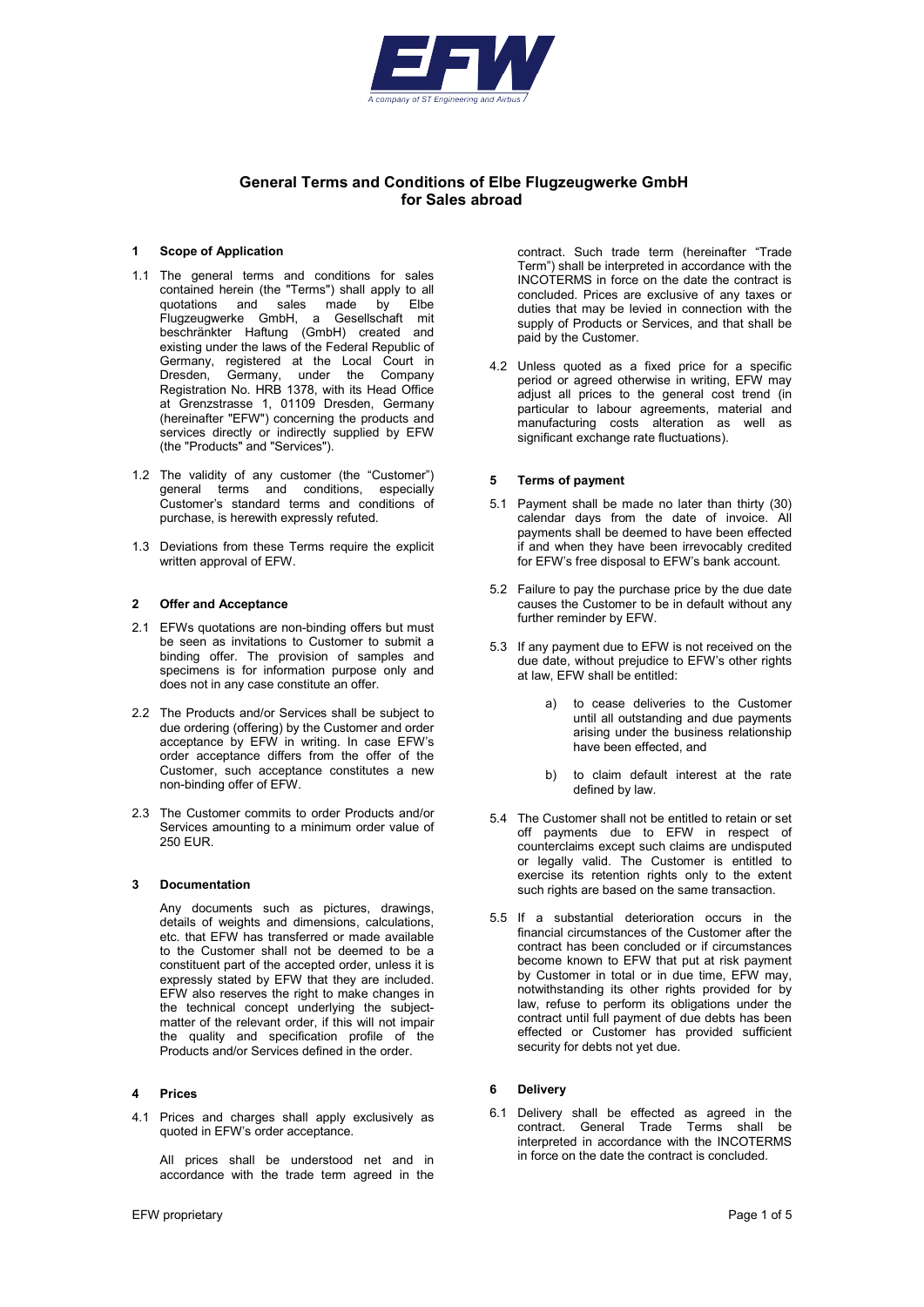

# General Terms and Conditions of Elbe Flugzeugwerke GmbH for Sales abroad

#### 1 Scope of Application

- 1.1 The general terms and conditions for sales contained herein (the "Terms") shall apply to all quotations and sales made by Elbe Flugzeugwerke GmbH, a Gesellschaft mit beschränkter Haftung (GmbH) created and existing under the laws of the Federal Republic of Germany, registered at the Local Court in<br>Dresden. Germany, under the Company Germany, under the Company Registration No. HRB 1378, with its Head Office at Grenzstrasse 1, 01109 Dresden, Germany (hereinafter "EFW") concerning the products and services directly or indirectly supplied by EFW (the "Products" and "Services").
- 1.2 The validity of any customer (the "Customer") general terms and conditions, especially Customer's standard terms and conditions of purchase, is herewith expressly refuted.
- 1.3 Deviations from these Terms require the explicit written approval of EFW.

#### 2 Offer and Acceptance

- 2.1 EFWs quotations are non-binding offers but must be seen as invitations to Customer to submit a binding offer. The provision of samples and specimens is for information purpose only and does not in any case constitute an offer.
- 2.2 The Products and/or Services shall be subject to due ordering (offering) by the Customer and order acceptance by EFW in writing. In case EFW's order acceptance differs from the offer of the Customer, such acceptance constitutes a new non-binding offer of EFW.
- 2.3 The Customer commits to order Products and/or Services amounting to a minimum order value of 250 EUR.

### 3 Documentation

Any documents such as pictures, drawings, details of weights and dimensions, calculations, etc. that EFW has transferred or made available to the Customer shall not be deemed to be a constituent part of the accepted order, unless it is expressly stated by EFW that they are included. EFW also reserves the right to make changes in the technical concept underlying the subjectmatter of the relevant order, if this will not impair the quality and specification profile of the Products and/or Services defined in the order.

# 4 Prices

4.1 Prices and charges shall apply exclusively as quoted in EFW's order acceptance.

All prices shall be understood net and in accordance with the trade term agreed in the contract. Such trade term (hereinafter "Trade Term") shall be interpreted in accordance with the INCOTERMS in force on the date the contract is concluded. Prices are exclusive of any taxes or duties that may be levied in connection with the supply of Products or Services, and that shall be paid by the Customer.

4.2 Unless quoted as a fixed price for a specific period or agreed otherwise in writing, EFW may adjust all prices to the general cost trend (in particular to labour agreements, material and manufacturing costs alteration as well as significant exchange rate fluctuations).

### 5 Terms of payment

- 5.1 Payment shall be made no later than thirty (30) calendar days from the date of invoice. All payments shall be deemed to have been effected if and when they have been irrevocably credited for EFW's free disposal to EFW's bank account.
- 5.2 Failure to pay the purchase price by the due date causes the Customer to be in default without any further reminder by EFW.
- 5.3 If any payment due to EFW is not received on the due date, without prejudice to EFW's other rights at law, EFW shall be entitled:
	- a) to cease deliveries to the Customer until all outstanding and due payments arising under the business relationship have been effected, and
	- b) to claim default interest at the rate defined by law.
- 5.4 The Customer shall not be entitled to retain or set off payments due to EFW in respect of counterclaims except such claims are undisputed or legally valid. The Customer is entitled to exercise its retention rights only to the extent such rights are based on the same transaction.
- 5.5 If a substantial deterioration occurs in the financial circumstances of the Customer after the contract has been concluded or if circumstances become known to EFW that put at risk payment by Customer in total or in due time, EFW may, notwithstanding its other rights provided for by law, refuse to perform its obligations under the contract until full payment of due debts has been effected or Customer has provided sufficient security for debts not yet due.

### 6 Delivery

6.1 Delivery shall be effected as agreed in the contract. General Trade Terms shall be interpreted in accordance with the INCOTERMS in force on the date the contract is concluded.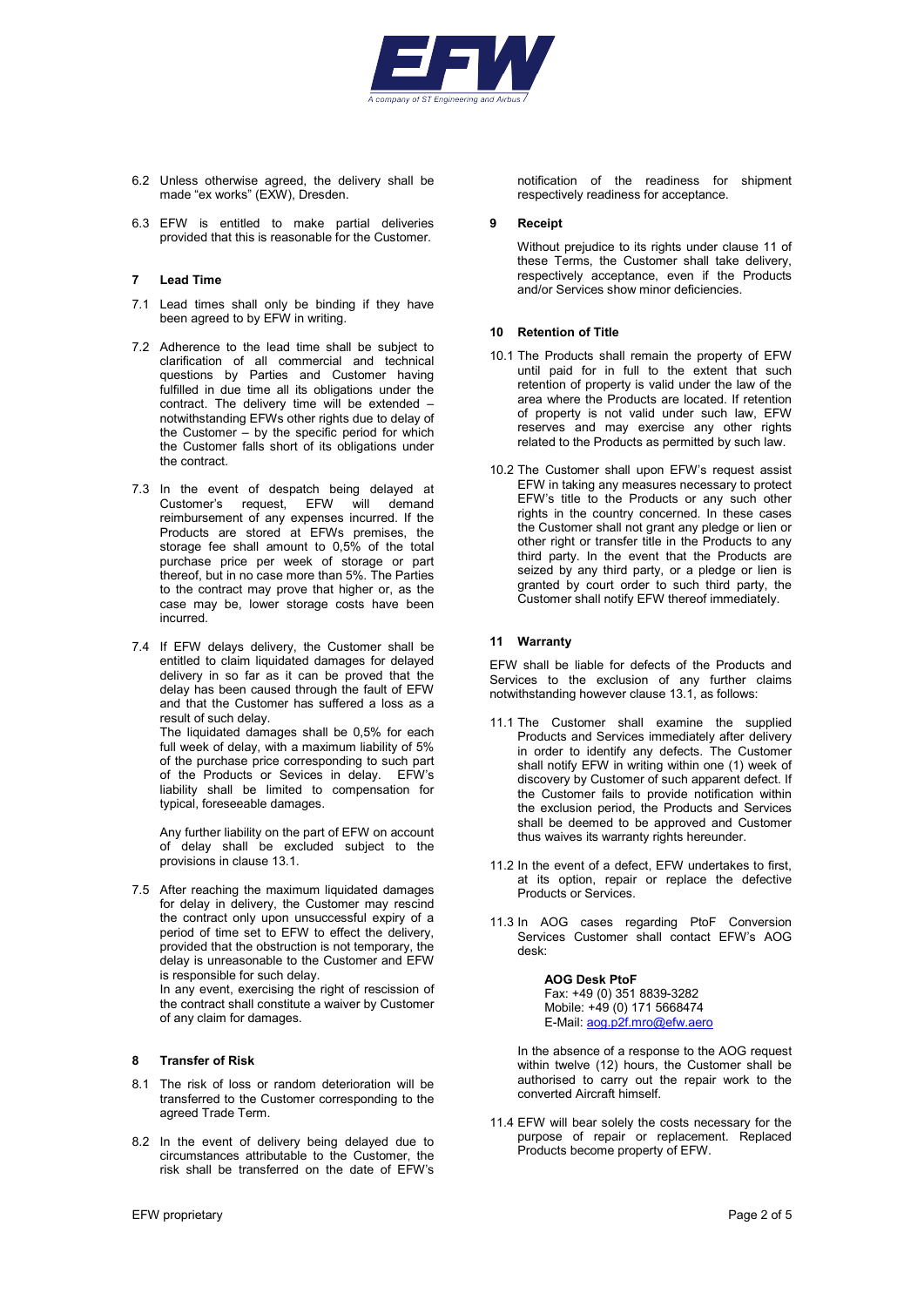

- 6.2 Unless otherwise agreed, the delivery shall be made "ex works" (EXW), Dresden.
- 6.3 EFW is entitled to make partial deliveries provided that this is reasonable for the Customer.

# 7 Lead Time

- 7.1 Lead times shall only be binding if they have been agreed to by EFW in writing.
- 7.2 Adherence to the lead time shall be subject to clarification of all commercial and technical questions by Parties and Customer having fulfilled in due time all its obligations under the contract. The delivery time will be extended – notwithstanding EFWs other rights due to delay of the Customer – by the specific period for which the Customer falls short of its obligations under the contract.
- 7.3 In the event of despatch being delayed at Customer's request, EFW will demand reimbursement of any expenses incurred. If the Products are stored at EFWs premises, the storage fee shall amount to 0,5% of the total purchase price per week of storage or part thereof, but in no case more than 5%. The Parties to the contract may prove that higher or, as the case may be, lower storage costs have been incurred.
- 7.4 If EFW delays delivery, the Customer shall be entitled to claim liquidated damages for delayed delivery in so far as it can be proved that the delay has been caused through the fault of EFW and that the Customer has suffered a loss as a result of such delay.

The liquidated damages shall be 0,5% for each full week of delay, with a maximum liability of 5% of the purchase price corresponding to such part of the Products or Sevices in delay. EFW's liability shall be limited to compensation for typical, foreseeable damages.

Any further liability on the part of EFW on account of delay shall be excluded subject to the provisions in clause 13.1.

7.5 After reaching the maximum liquidated damages for delay in delivery, the Customer may rescind the contract only upon unsuccessful expiry of a period of time set to EFW to effect the delivery, provided that the obstruction is not temporary, the delay is unreasonable to the Customer and EFW is responsible for such delay.

In any event, exercising the right of rescission of the contract shall constitute a waiver by Customer of any claim for damages.

# 8 Transfer of Risk

- 8.1 The risk of loss or random deterioration will be transferred to the Customer corresponding to the agreed Trade Term.
- 8.2 In the event of delivery being delayed due to circumstances attributable to the Customer, the risk shall be transferred on the date of EFW's

notification of the readiness for shipment respectively readiness for acceptance.

### 9 Receipt

Without prejudice to its rights under clause 11 of these Terms, the Customer shall take delivery, respectively acceptance, even if the Products and/or Services show minor deficiencies.

# 10 Retention of Title

- 10.1 The Products shall remain the property of EFW until paid for in full to the extent that such retention of property is valid under the law of the area where the Products are located. If retention of property is not valid under such law, EFW reserves and may exercise any other rights related to the Products as permitted by such law.
- 10.2 The Customer shall upon EFW's request assist EFW in taking any measures necessary to protect EFW's title to the Products or any such other rights in the country concerned. In these cases the Customer shall not grant any pledge or lien or other right or transfer title in the Products to any third party. In the event that the Products are seized by any third party, or a pledge or lien is granted by court order to such third party, the Customer shall notify EFW thereof immediately.

# 11 Warranty

EFW shall be liable for defects of the Products and Services to the exclusion of any further claims notwithstanding however clause 13.1, as follows:

- 11.1 The Customer shall examine the supplied Products and Services immediately after delivery in order to identify any defects. The Customer shall notify EFW in writing within one (1) week of discovery by Customer of such apparent defect. If the Customer fails to provide notification within the exclusion period, the Products and Services shall be deemed to be approved and Customer thus waives its warranty rights hereunder.
- 11.2 In the event of a defect, EFW undertakes to first, at its option, repair or replace the defective Products or Services.
- 11.3 In AOG cases regarding PtoF Conversion Services Customer shall contact EFW's AOG desk:

AOG Desk PtoF Fax: +49 (0) 351 8839-3282 Mobile: +49 (0) 171 5668474 E-Mail: aog.p2f.mro@efw.aero

In the absence of a response to the AOG request within twelve (12) hours, the Customer shall be authorised to carry out the repair work to the converted Aircraft himself.

11.4 EFW will bear solely the costs necessary for the purpose of repair or replacement. Replaced Products become property of EFW.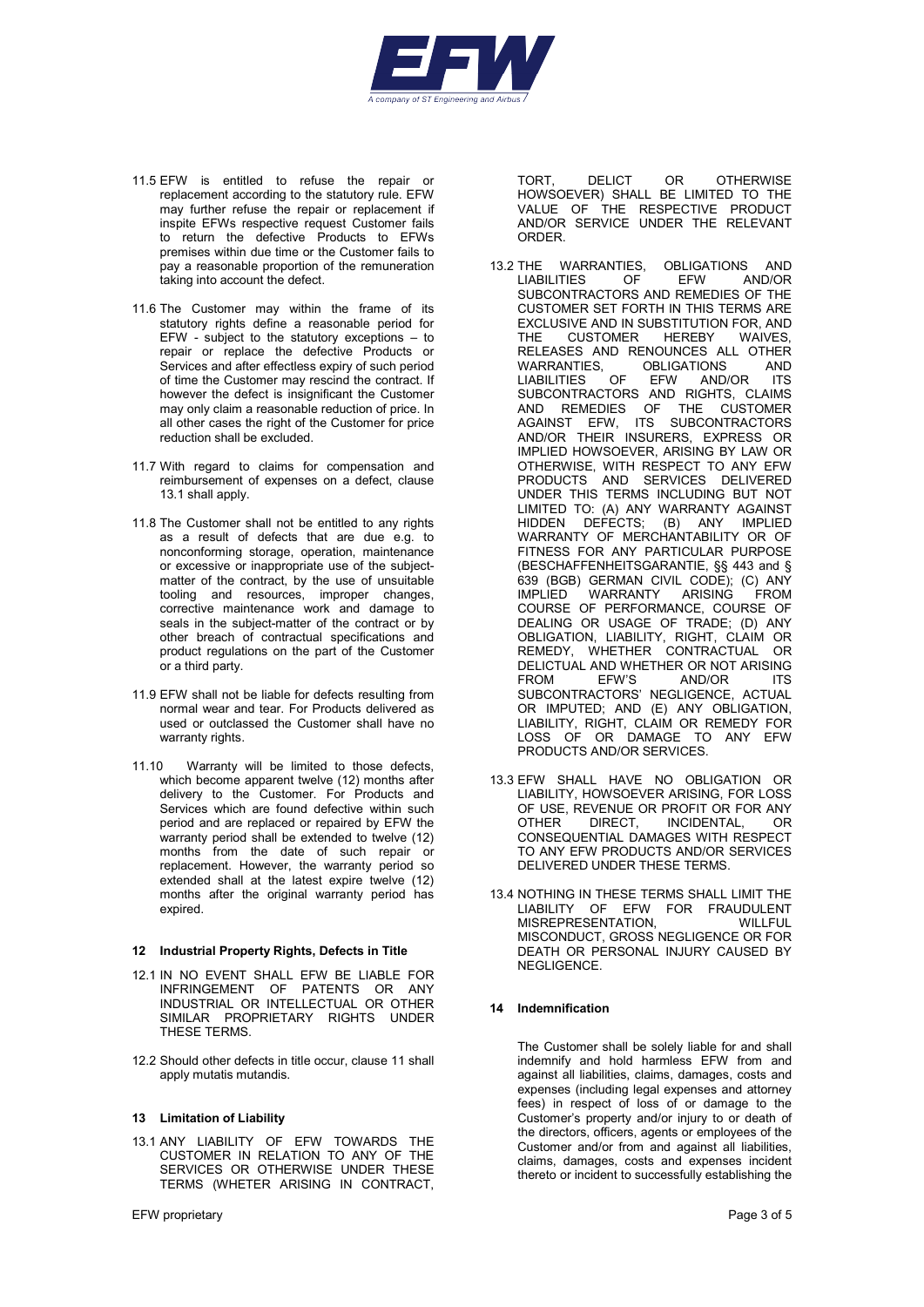

- 11.5 EFW is entitled to refuse the repair or replacement according to the statutory rule. EFW may further refuse the repair or replacement if inspite EFWs respective request Customer fails to return the defective Products to EFWs premises within due time or the Customer fails to pay a reasonable proportion of the remuneration taking into account the defect.
- 11.6 The Customer may within the frame of its statutory rights define a reasonable period for EFW - subject to the statutory exceptions – to repair or replace the defective Products or Services and after effectless expiry of such period of time the Customer may rescind the contract. If however the defect is insignificant the Customer may only claim a reasonable reduction of price. In all other cases the right of the Customer for price reduction shall be excluded.
- 11.7 With regard to claims for compensation and reimbursement of expenses on a defect, clause 13.1 shall apply.
- 11.8 The Customer shall not be entitled to any rights as a result of defects that are due e.g. to nonconforming storage, operation, maintenance or excessive or inappropriate use of the subjectmatter of the contract, by the use of unsuitable tooling and resources, improper changes, corrective maintenance work and damage to seals in the subject-matter of the contract or by other breach of contractual specifications and product regulations on the part of the Customer or a third party.
- 11.9 EFW shall not be liable for defects resulting from normal wear and tear. For Products delivered as used or outclassed the Customer shall have no warranty rights.
- 11.10 Warranty will be limited to those defects, which become apparent twelve (12) months after delivery to the Customer. For Products and Services which are found defective within such period and are replaced or repaired by EFW the warranty period shall be extended to twelve (12) months from the date of such repair or replacement. However, the warranty period so extended shall at the latest expire twelve (12) months after the original warranty period has expired.

#### 12 Industrial Property Rights, Defects in Title

- 12.1 IN NO EVENT SHALL EFW BE LIABLE FOR INFRINGEMENT OF PATENTS OR ANY INDUSTRIAL OR INTELLECTUAL OR OTHER SIMILAR PROPRIETARY RIGHTS UNDER THESE TERMS.
- 12.2 Should other defects in title occur, clause 11 shall apply mutatis mutandis.

#### 13 Limitation of Liability

13.1 ANY LIABILITY OF EFW TOWARDS THE CUSTOMER IN RELATION TO ANY OF THE SERVICES OR OTHERWISE UNDER THESE TERMS (WHETER ARISING IN CONTRACT,

TORT DELICT OR OTHERWISE HOWSOEVER) SHALL BE LIMITED TO THE VALUE OF THE RESPECTIVE PRODUCT AND/OR SERVICE UNDER THE RELEVANT ORDER.

- 13.2 THE WARRANTIES, OBLIGATIONS AND<br>LIABILITIES OF EFW AND/OR LIABILITIES OF EFW AND/OR SUBCONTRACTORS AND REMEDIES OF THE CUSTOMER SET FORTH IN THIS TERMS ARE EXCLUSIVE AND IN SUBSTITUTION FOR, AND<br>THE CUSTOMER HERERY WAIVES THE CUSTOMER HEREBY THE COOLONIERS AND RENOUNCES ALL OTHER<br>WARRANTIES. OBLIGATIONS AND WARRANTIES, OBLIGATIONS AND LIABILITIES OF EFW AND/OR ITS SUBCONTRACTORS AND RIGHTS, CLAIMS AND REMEDIES OF THE CUSTOMER AGAINST EFW, ITS SUBCONTRACTORS AND/OR THEIR INSURERS, EXPRESS OR IMPLIED HOWSOEVER, ARISING BY LAW OR OTHERWISE, WITH RESPECT TO ANY EFW PRODUCTS AND SERVICES DELIVERED UNDER THIS TERMS INCLUDING BUT NOT LIMITED TO: (A) ANY WARRANTY AGAINST HIDDEN DEFECTS; (B) ANY IMPLIED WARRANTY OF MERCHANTABILITY OR OF FITNESS FOR ANY PARTICULAR PURPOSE (BESCHAFFENHEITSGARANTIE, §§ 443 and § 639 (BGB) GERMAN CIVIL CODE); (C) ANY IMPLIED WARRANTY ARISING FROM COURSE OF PERFORMANCE, COURSE OF DEALING OR USAGE OF TRADE; (D) ANY OBLIGATION, LIABILITY, RIGHT, CLAIM OR REMEDY, WHETHER CONTRACTUAL OR DELICTUAL AND WHETHER OR NOT ARISING AND/OR SUBCONTRACTORS' NEGLIGENCE, ACTUAL OR IMPUTED; AND (E) ANY OBLIGATION, LIABILITY, RIGHT, CLAIM OR REMEDY FOR LOSS OF OR DAMAGE TO ANY EFW PRODUCTS AND/OR SERVICES.
- 13.3 EFW SHALL HAVE NO OBLIGATION OR LIABILITY, HOWSOEVER ARISING, FOR LOSS OF USE, REVENUE OR PROFIT OR FOR ANY<br>OTHER DIRECT, INCIDENTAL, OR OTHER DIRECT, INCIDENTAL, OR CONSEQUENTIAL DAMAGES WITH RESPECT TO ANY EFW PRODUCTS AND/OR SERVICES DELIVERED UNDER THESE TERMS.
- 13.4 NOTHING IN THESE TERMS SHALL LIMIT THE LIABILITY OF EFW FOR FRAUDULENT<br>MISREPRESENTATION, WILLFUL MISREPRESENTATION, MISCONDUCT, GROSS NEGLIGENCE OR FOR DEATH OR PERSONAL INJURY CAUSED BY NEGLIGENCE.

#### 14 Indemnification

The Customer shall be solely liable for and shall indemnify and hold harmless EFW from and against all liabilities, claims, damages, costs and expenses (including legal expenses and attorney fees) in respect of loss of or damage to the Customer's property and/or injury to or death of the directors, officers, agents or employees of the Customer and/or from and against all liabilities, claims, damages, costs and expenses incident thereto or incident to successfully establishing the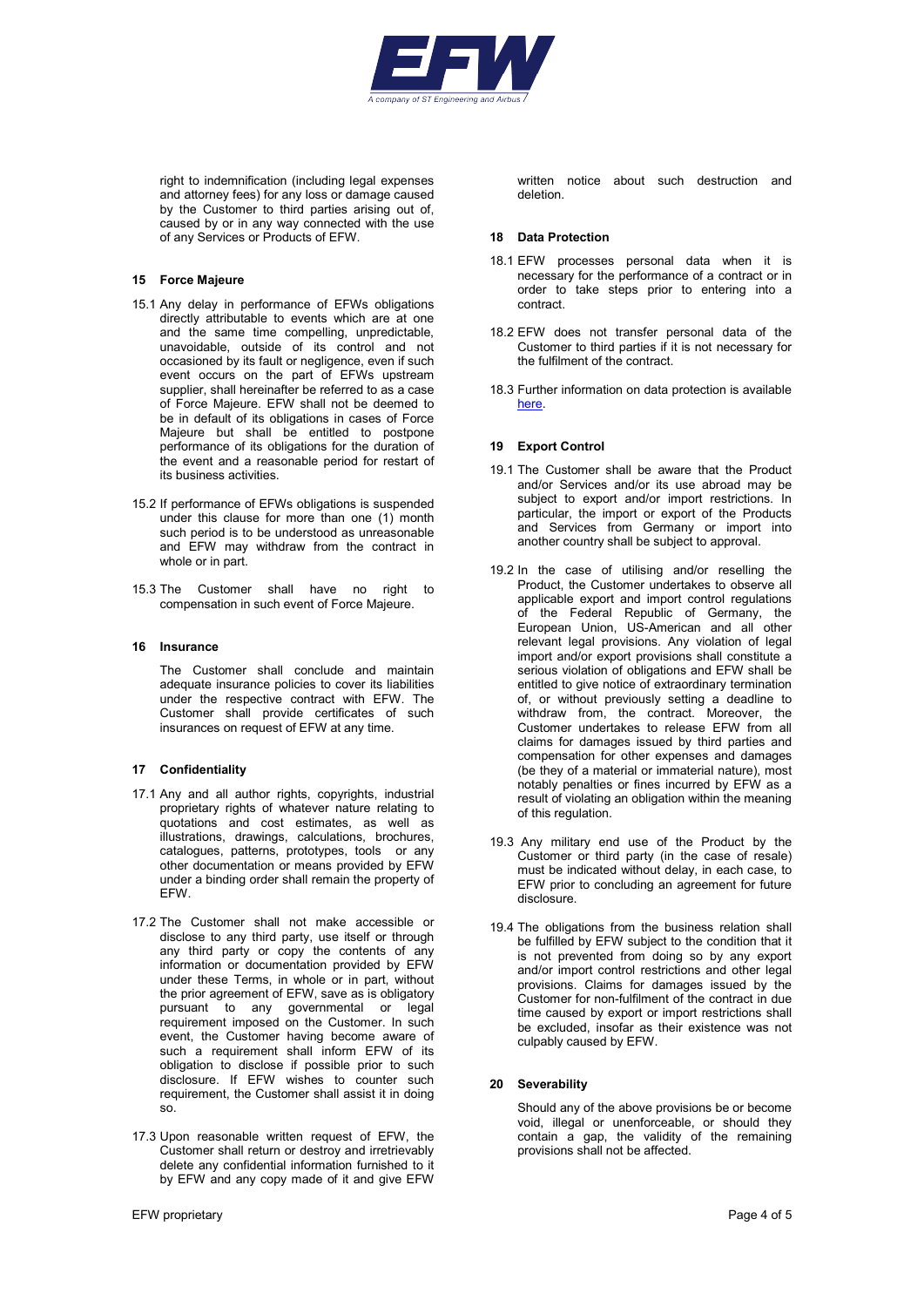

right to indemnification (including legal expenses and attorney fees) for any loss or damage caused by the Customer to third parties arising out of, caused by or in any way connected with the use of any Services or Products of EFW.

# 15 Force Majeure

- 15.1 Any delay in performance of EFWs obligations directly attributable to events which are at one and the same time compelling, unpredictable, unavoidable, outside of its control and not occasioned by its fault or negligence, even if such event occurs on the part of EFWs upstream supplier, shall hereinafter be referred to as a case of Force Majeure. EFW shall not be deemed to be in default of its obligations in cases of Force Majeure but shall be entitled to postpone performance of its obligations for the duration of the event and a reasonable period for restart of its business activities.
- 15.2 If performance of EFWs obligations is suspended under this clause for more than one (1) month such period is to be understood as unreasonable and EFW may withdraw from the contract in whole or in part.
- 15.3 The Customer shall have no right to compensation in such event of Force Majeure.

#### 16 Insurance

The Customer shall conclude and maintain adequate insurance policies to cover its liabilities under the respective contract with EFW. The Customer shall provide certificates of such insurances on request of EFW at any time.

### 17 Confidentiality

- 17.1 Any and all author rights, copyrights, industrial proprietary rights of whatever nature relating to quotations and cost estimates, as well as illustrations, drawings, calculations, brochures, catalogues, patterns, prototypes, tools or any other documentation or means provided by EFW under a binding order shall remain the property of EFW.
- 17.2 The Customer shall not make accessible or disclose to any third party, use itself or through any third party or copy the contents of any information or documentation provided by EFW under these Terms, in whole or in part, without the prior agreement of EFW, save as is obligatory pursuant to any governmental or legal requirement imposed on the Customer. In such event, the Customer having become aware of such a requirement shall inform EFW of its obligation to disclose if possible prior to such disclosure. If EFW wishes to counter such requirement, the Customer shall assist it in doing so.
- 17.3 Upon reasonable written request of EFW, the Customer shall return or destroy and irretrievably delete any confidential information furnished to it by EFW and any copy made of it and give EFW

written notice about such destruction and deletion.

#### 18 Data Protection

- 18.1 EFW processes personal data when it is necessary for the performance of a contract or in order to take steps prior to entering into a contract.
- 18.2 EFW does not transfer personal data of the Customer to third parties if it is not necessary for the fulfilment of the contract.
- 18.3 Further information on data protection is available here.

#### 19 Export Control

- 19.1 The Customer shall be aware that the Product and/or Services and/or its use abroad may be subject to export and/or import restrictions. In particular, the import or export of the Products and Services from Germany or import into another country shall be subject to approval.
- 19.2 In the case of utilising and/or reselling the Product, the Customer undertakes to observe all applicable export and import control regulations of the Federal Republic of Germany, the European Union, US-American and all other relevant legal provisions. Any violation of legal import and/or export provisions shall constitute a serious violation of obligations and EFW shall be entitled to give notice of extraordinary termination of, or without previously setting a deadline to withdraw from, the contract. Moreover, the Customer undertakes to release EFW from all claims for damages issued by third parties and compensation for other expenses and damages (be they of a material or immaterial nature), most notably penalties or fines incurred by EFW as a result of violating an obligation within the meaning of this regulation.
- 19.3 Any military end use of the Product by the Customer or third party (in the case of resale) must be indicated without delay, in each case, to EFW prior to concluding an agreement for future disclosure.
- 19.4 The obligations from the business relation shall be fulfilled by EFW subject to the condition that it is not prevented from doing so by any export and/or import control restrictions and other legal provisions. Claims for damages issued by the Customer for non-fulfilment of the contract in due time caused by export or import restrictions shall be excluded, insofar as their existence was not culpably caused by EFW.

### 20 Severability

Should any of the above provisions be or become void, illegal or unenforceable, or should they contain a gap, the validity of the remaining provisions shall not be affected.